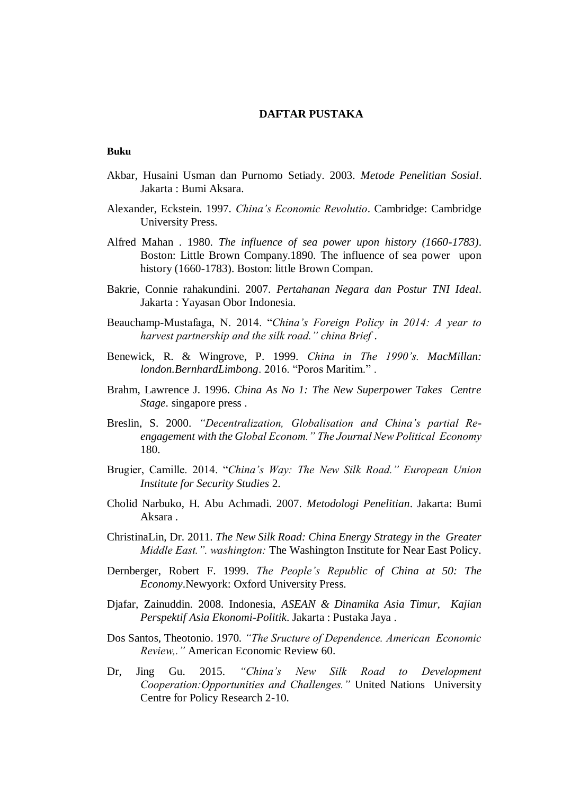## **DAFTAR PUSTAKA**

## **Buku**

- Akbar, Husaini Usman dan Purnomo Setiady. 2003. *Metode Penelitian Sosial*. Jakarta : Bumi Aksara.
- Alexander, Eckstein. 1997. *China's Economic Revolutio*. Cambridge: Cambridge University Press.
- Alfred Mahan . 1980. *The influence of sea power upon history (1660-1783)*. Boston: Little Brown Company.1890. The influence of sea power upon history (1660-1783). Boston: little Brown Compan.
- Bakrie, Connie rahakundini. 2007. *Pertahanan Negara dan Postur TNI Ideal*. Jakarta : Yayasan Obor Indonesia.
- Beauchamp-Mustafaga, N. 2014. "*China's Foreign Policy in 2014: A year to harvest partnership and the silk road." china Brief* .
- Benewick, R. & Wingrove, P. 1999. *China in The 1990's. MacMillan: london.BernhardLimbong*. 2016. "Poros Maritim." .
- Brahm, Lawrence J. 1996. *China As No 1: The New Superpower Takes Centre Stage*. singapore press .
- Breslin, S. 2000. *"Decentralization, Globalisation and China's partial Reengagement with the Global Econom." The Journal New Political Economy* 180.
- Brugier, Camille. 2014. "*China's Way: The New Silk Road." European Union Institute for Security Studies* 2.
- Cholid Narbuko, H. Abu Achmadi. 2007. *Metodologi Penelitian*. Jakarta: Bumi Aksara .
- ChristinaLin, Dr. 2011. *The New Silk Road: China Energy Strategy in the Greater Middle East.". washington:* The Washington Institute for Near East Policy.
- Dernberger, Robert F. 1999. *The People's Republic of China at 50: The Economy*.Newyork: Oxford University Press.
- Djafar, Zainuddin. 2008. Indonesia, *ASEAN & Dinamika Asia Timur, Kajian Perspektif Asia Ekonomi-Politik*. Jakarta : Pustaka Jaya .
- Dos Santos, Theotonio. 1970. *"The Sructure of Dependence. American Economic Review,."* American Economic Review 60.
- Dr, Jing Gu. 2015. *"China's New Silk Road to Development Cooperation:Opportunities and Challenges."* United Nations University Centre for Policy Research 2-10.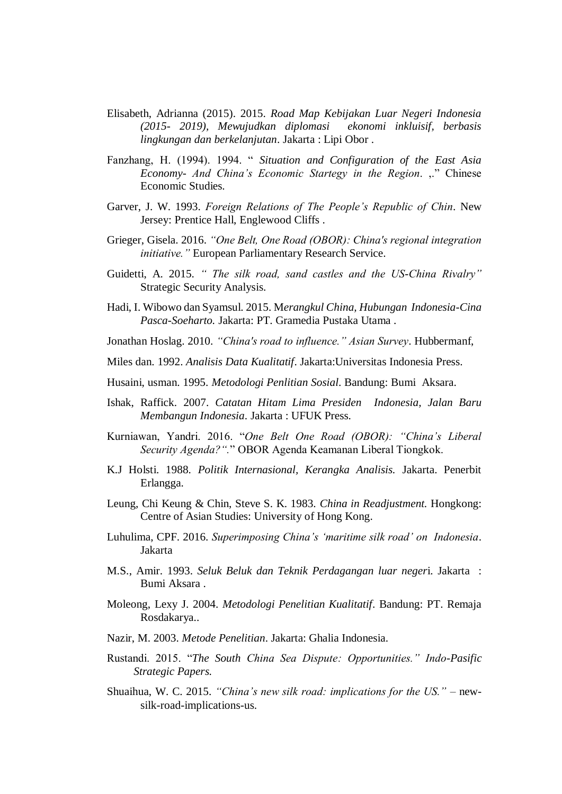- Elisabeth, Adrianna (2015). 2015. *Road Map Kebijakan Luar Negeri Indonesia (2015- 2019), Mewujudkan diplomasi ekonomi inkluisif, berbasis lingkungan dan berkelanjutan*. Jakarta : Lipi Obor .
- Fanzhang, H. (1994). 1994. " *Situation and Configuration of the East Asia Economy- And China's Economic Startegy in the Region*. ,." Chinese Economic Studies.
- Garver, J. W. 1993. *Foreign Relations of The People's Republic of Chin*. New Jersey: Prentice Hall, Englewood Cliffs .
- Grieger, Gisela. 2016. *"One Belt, One Road (OBOR): China's regional integration initiative."* European Parliamentary Research Service.
- Guidetti, A. 2015. *" The silk road, sand castles and the US-China Rivalry"* Strategic Security Analysis.
- Hadi, I. Wibowo dan Syamsul. 2015. M*erangkul China, Hubungan Indonesia-Cina Pasca-Soeharto.* Jakarta: PT. Gramedia Pustaka Utama .
- Jonathan Hoslag. 2010. *"China's road to influence." Asian Survey*. Hubbermanf,
- Miles dan. 1992. *Analisis Data Kualitatif*. Jakarta:Universitas Indonesia Press.
- Husaini, usman. 1995. *Metodologi Penlitian Sosial*. Bandung: Bumi Aksara.
- Ishak, Raffick. 2007. *Catatan Hitam Lima Presiden Indonesia, Jalan Baru Membangun Indonesia*. Jakarta : UFUK Press.
- Kurniawan, Yandri. 2016. "*One Belt One Road (OBOR): "China's Liberal Security Agenda?".*" OBOR Agenda Keamanan Liberal Tiongkok.
- K.J Holsti. 1988. *Politik Internasional, Kerangka Analisis.* Jakarta. Penerbit Erlangga.
- Leung, Chi Keung & Chin, Steve S. K. 1983. *China in Readjustment.* Hongkong: Centre of Asian Studies: University of Hong Kong.
- Luhulima, CPF. 2016. *Superimposing China's 'maritime silk road' on Indonesia*. Jakarta
- M.S., Amir. 1993. *Seluk Beluk dan Teknik Perdagangan luar neger*i. Jakarta : Bumi Aksara .
- Moleong, Lexy J. 2004. *Metodologi Penelitian Kualitatif*. Bandung: PT. Remaja Rosdakarya..
- Nazir, M. 2003. *Metode Penelitian*. Jakarta: Ghalia Indonesia.
- Rustandi. 2015. "*The South China Sea Dispute: Opportunities." Indo-Pasific Strategic Papers.*
- Shuaihua, W. C. 2015. *"China's new silk road: implications for the US."* newsilk-road-implications-us.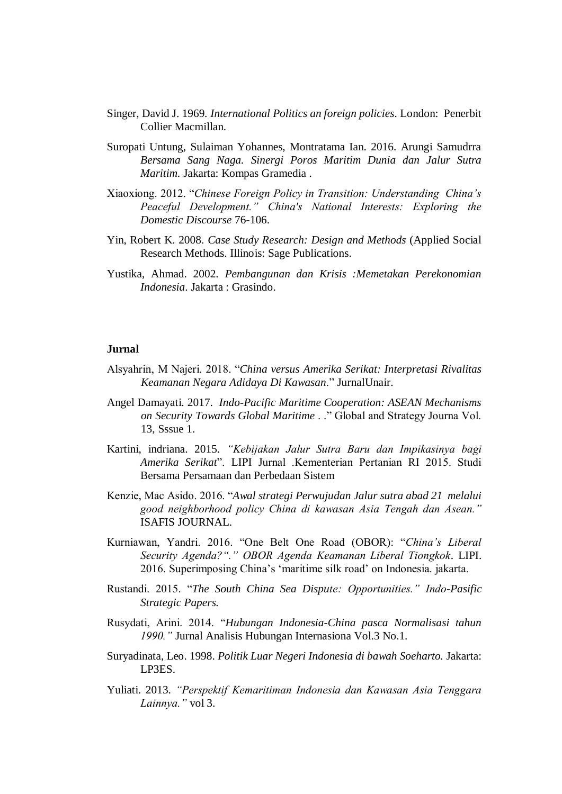- Singer, David J. 1969*. International Politics an foreign policies*. London: Penerbit Collier Macmillan.
- Suropati Untung, Sulaiman Yohannes, Montratama Ian. 2016. Arungi Samudrra *Bersama Sang Naga. Sinergi Poros Maritim Dunia dan Jalur Sutra Maritim.* Jakarta: Kompas Gramedia .
- Xiaoxiong. 2012. "*Chinese Foreign Policy in Transition: Understanding China's Peaceful Development." China's National Interests: Exploring the Domestic Discourse* 76-106.
- Yin, Robert K. 2008. *Case Study Research: Design and Methods* (Applied Social Research Methods. Illinois: Sage Publications.
- Yustika, Ahmad. 2002. *Pembangunan dan Krisis :Memetakan Perekonomian Indonesia*. Jakarta : Grasindo.

## **Jurnal**

- Alsyahrin, M Najeri. 2018. "*China versus Amerika Serikat: Interpretasi Rivalitas Keamanan Negara Adidaya Di Kawasan*." JurnalUnair.
- Angel Damayati. 2017. *Indo-Pacific Maritime Cooperation: ASEAN Mechanisms on Security Towards Global Maritime* . ." Global and Strategy Journa Vol. 13, Sssue 1.
- Kartini, indriana. 2015. *"Kebijakan Jalur Sutra Baru dan Impikasinya bagi Amerika Serikat*". LIPI Jurnal .Kementerian Pertanian RI 2015. Studi Bersama Persamaan dan Perbedaan Sistem
- Kenzie, Mac Asido. 2016. "*Awal strategi Perwujudan Jalur sutra abad 21 melalui good neighborhood policy China di kawasan Asia Tengah dan Asean."* ISAFIS JOURNAL.
- Kurniawan, Yandri. 2016. "One Belt One Road (OBOR): "*China's Liberal Security Agenda?"." OBOR Agenda Keamanan Liberal Tiongkok*. LIPI. 2016. Superimposing China's 'maritime silk road' on Indonesia. jakarta.
- Rustandi. 2015. "*The South China Sea Dispute: Opportunities." Indo-Pasific Strategic Papers.*
- Rusydati, Arini. 2014. "*Hubungan Indonesia-China pasca Normalisasi tahun 1990."* Jurnal Analisis Hubungan Internasiona Vol.3 No.1.
- Suryadinata, Leo. 1998. *Politik Luar Negeri Indonesia di bawah Soeharto.* Jakarta: LP3ES.
- Yuliati. 2013. *"Perspektif Kemaritiman Indonesia dan Kawasan Asia Tenggara Lainnya."* vol 3.